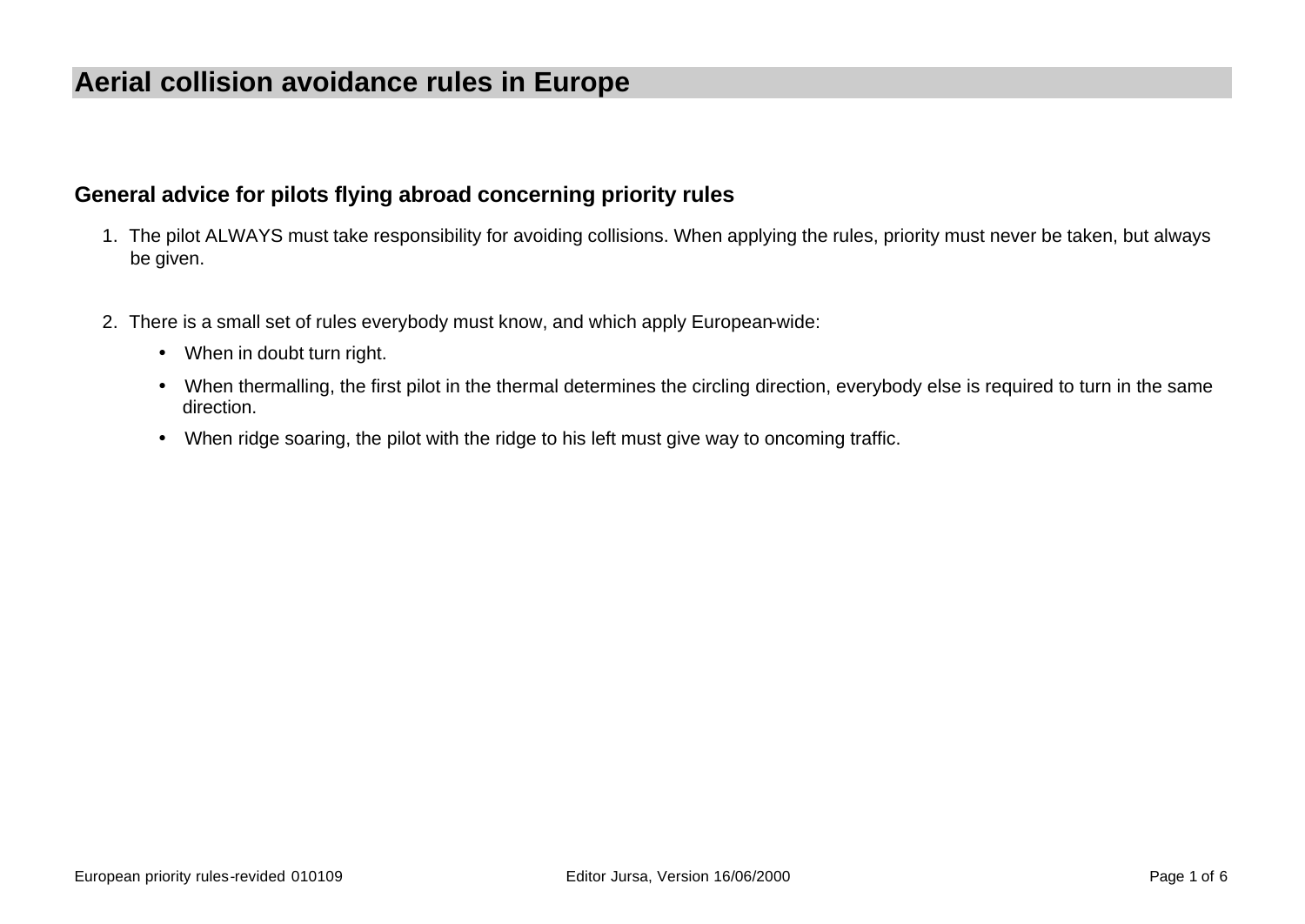# **Aerial collision avoidance rules in Europe**

#### **General advice for pilots flying abroad concerning priority rules**

- 1. The pilot ALWAYS must take responsibility for avoiding collisions. When applying the rules, priority must never be taken, but always be given.
- 2. There is a small set of rules everybody must know, and which apply European-wide:
	- When in doubt turn right.
	- When thermalling, the first pilot in the thermal determines the circling direction, everybody else is required to turn in the same direction.
	- When ridge soaring, the pilot with the ridge to his left must give way to oncoming traffic.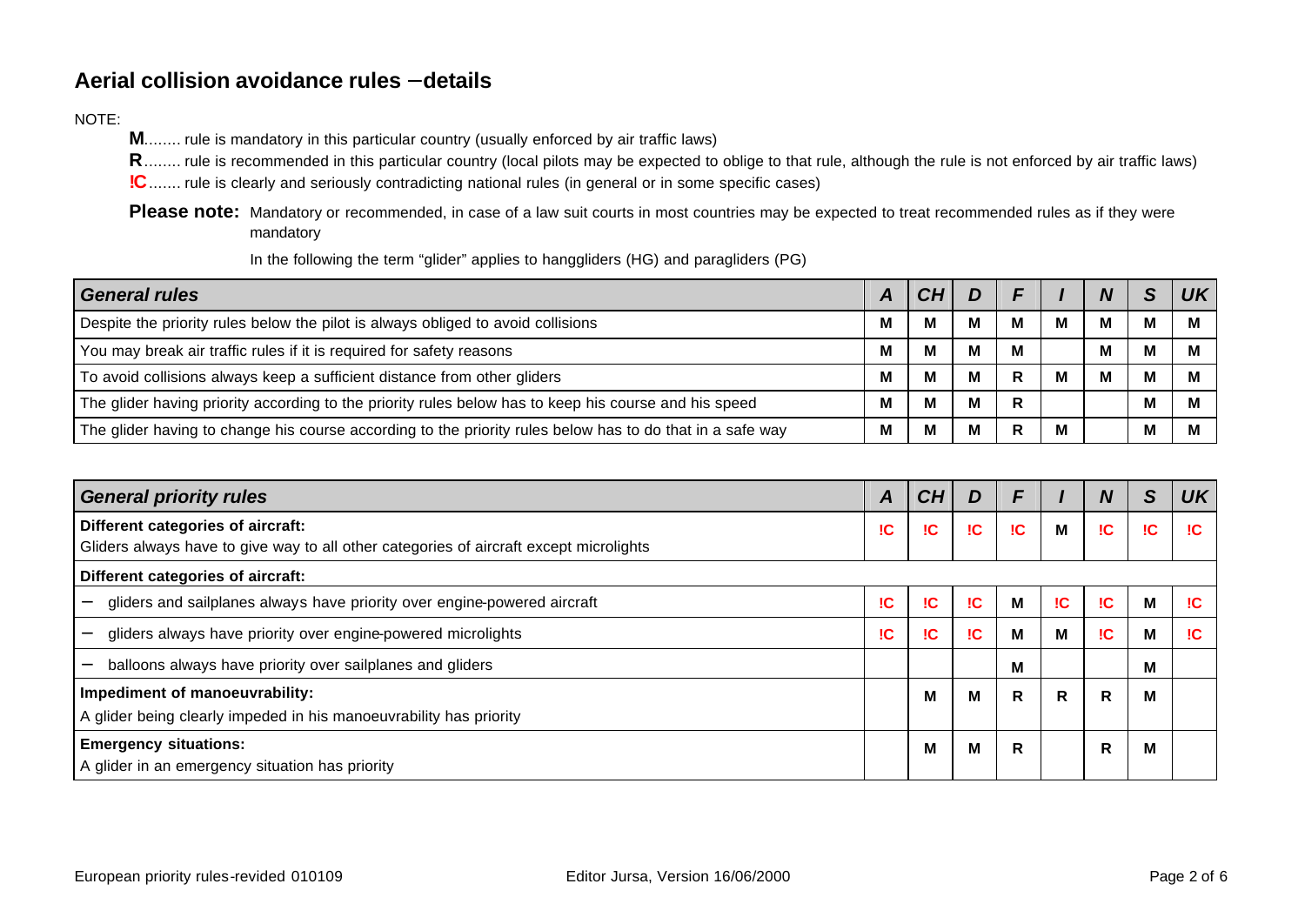### **Aerial collision avoidance rules - details**

#### NOTE:

**M**........ rule is mandatory in this particular country (usually enforced by air traffic laws)

**R**........ rule is recommended in this particular country (local pilots may be expected to oblige to that rule, although the rule is not enforced by air traffic laws)

**!C**....... rule is clearly and seriously contradicting national rules (in general or in some specific cases)

Please note: Mandatory or recommended, in case of a law suit courts in most countries may be expected to treat recommended rules as if they were mandatory

In the following the term "glider" applies to hanggliders (HG) and paragliders (PG)

| <b>General rules</b>                                                                                      |  |   |   |    |     | c | 1 I K |
|-----------------------------------------------------------------------------------------------------------|--|---|---|----|-----|---|-------|
| Despite the priority rules below the pilot is always obliged to avoid collisions                          |  |   |   | м  | IV. | M |       |
| You may break air traffic rules if it is required for safety reasons                                      |  |   | м | M  |     | M |       |
| To avoid collisions always keep a sufficient distance from other gliders                                  |  | M | м | R  |     | M |       |
| The glider having priority according to the priority rules below has to keep his course and his speed     |  | М | м | R. |     | M |       |
| The glider having to change his course according to the priority rules below has to do that in a safe way |  |   | м | R  | M   | М |       |

| <b>General priority rules</b>                                                                                               |    |     |           | F   |    | N  | S  | <b>UK</b> |
|-----------------------------------------------------------------------------------------------------------------------------|----|-----|-----------|-----|----|----|----|-----------|
| Different categories of aircraft:<br>Gliders always have to give way to all other categories of aircraft except microlights | !C | IC  | IC.       | IC. | M  | IC | IC | IC.       |
| Different categories of aircraft:                                                                                           |    |     |           |     |    |    |    |           |
| gliders and sailplanes always have priority over engine-powered aircraft                                                    | IC | IC  | <b>IC</b> | M   | IC | IC | M  | IC.       |
| gliders always have priority over engine-powered microlights                                                                |    | IC. | IC.       | м   | M  | IC | M  | IC.       |
| balloons always have priority over sailplanes and gliders<br>-                                                              |    |     |           | M   |    |    | м  |           |
| Impediment of manoeuvrability:<br>A glider being clearly impeded in his manoeuvrability has priority                        |    | м   | м         | R   | R  | R  | М  |           |
| <b>Emergency situations:</b><br>A glider in an emergency situation has priority                                             |    | M   | M         | R   |    | R  | M  |           |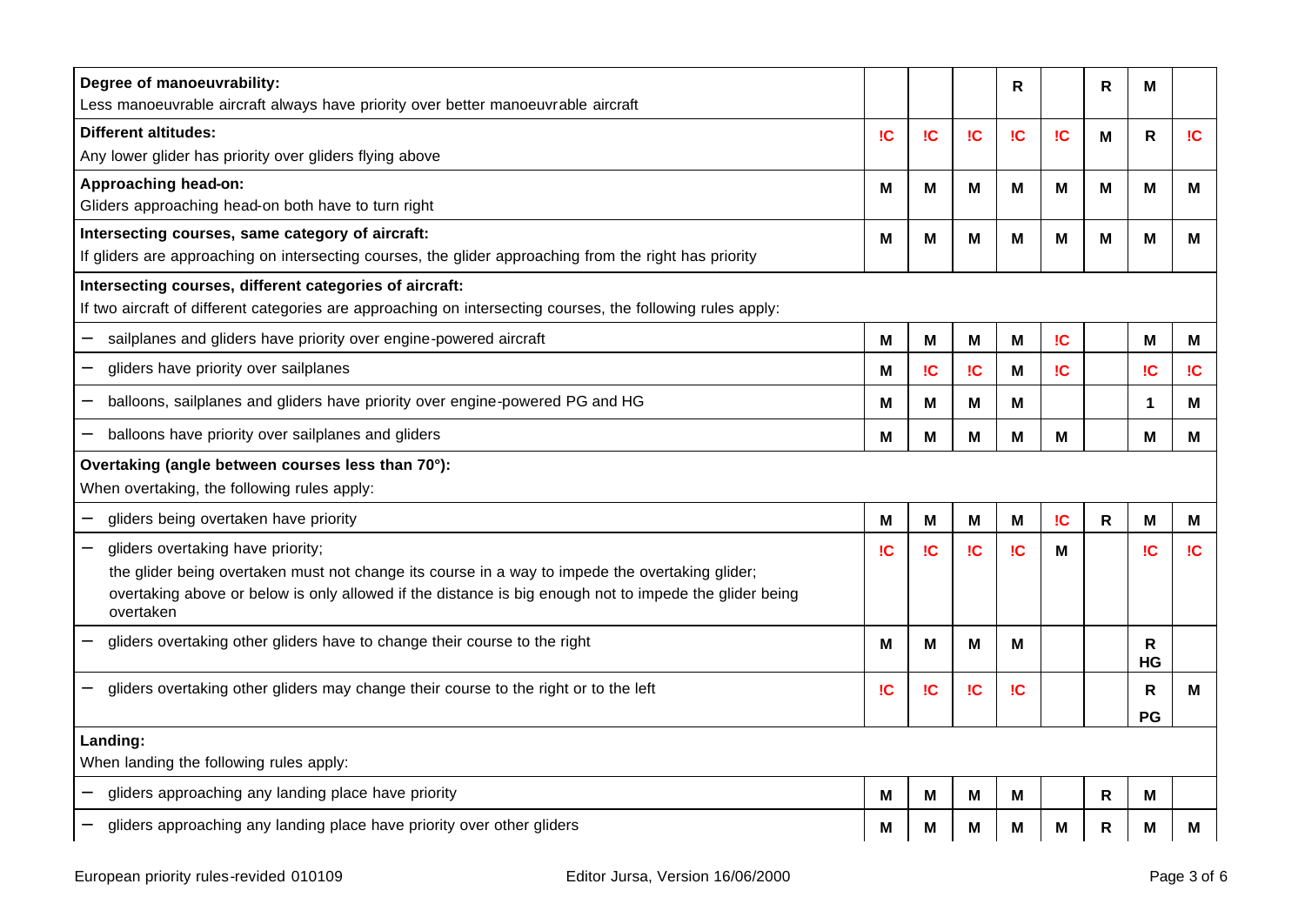| Degree of manoeuvrability:<br>Less manoeuvrable aircraft always have priority over better manoeuvrable aircraft                                                                                                                                             |           |    |    | R   |           | R | M           |     |
|-------------------------------------------------------------------------------------------------------------------------------------------------------------------------------------------------------------------------------------------------------------|-----------|----|----|-----|-----------|---|-------------|-----|
| <b>Different altitudes:</b><br>Any lower glider has priority over gliders flying above                                                                                                                                                                      | IC.       | IC | IC | IC  | <b>IC</b> | M | R           | IC  |
| Approaching head-on:<br>Gliders approaching head-on both have to turn right                                                                                                                                                                                 | Μ         | M  | М  | Μ   | M         | М | M           | М   |
| Intersecting courses, same category of aircraft:<br>If gliders are approaching on intersecting courses, the glider approaching from the right has priority                                                                                                  | Μ         | M  | М  | M   | М         | М | M           | M   |
| Intersecting courses, different categories of aircraft:<br>If two aircraft of different categories are approaching on intersecting courses, the following rules apply:                                                                                      |           |    |    |     |           |   |             |     |
| sailplanes and gliders have priority over engine-powered aircraft                                                                                                                                                                                           | м         | M  | М  | М   | <b>IC</b> |   | M           | м   |
| gliders have priority over sailplanes                                                                                                                                                                                                                       | м         | IC | IC | Μ   | IC.       |   | IC          | IC  |
| balloons, sailplanes and gliders have priority over engine-powered PG and HG                                                                                                                                                                                | м         | М  | м  | Μ   |           |   | $\mathbf 1$ | Μ   |
| balloons have priority over sailplanes and gliders                                                                                                                                                                                                          | М         | M  | м  | M   | M         |   | M           | Μ   |
|                                                                                                                                                                                                                                                             |           |    |    |     |           |   |             |     |
| Overtaking (angle between courses less than 70°):<br>When overtaking, the following rules apply:                                                                                                                                                            |           |    |    |     |           |   |             |     |
| gliders being overtaken have priority                                                                                                                                                                                                                       | М         | M  | М  | M   | IC        | R | M           | М   |
| gliders overtaking have priority;<br>the glider being overtaken must not change its course in a way to impede the overtaking glider;<br>overtaking above or below is only allowed if the distance is big enough not to impede the glider being<br>overtaken | IC.       | IC | IC | !C  | М         |   | <b>IC</b>   | IC. |
| gliders overtaking other gliders have to change their course to the right                                                                                                                                                                                   | М         | M  | Μ  | М   |           |   | R<br>HG     |     |
| gliders overtaking other gliders may change their course to the right or to the left                                                                                                                                                                        | <b>IC</b> | IC | IC | IC. |           |   | R<br>PG     | М   |
| Landing:                                                                                                                                                                                                                                                    |           |    |    |     |           |   |             |     |
| When landing the following rules apply:                                                                                                                                                                                                                     |           |    |    |     |           |   |             |     |
| gliders approaching any landing place have priority                                                                                                                                                                                                         | М         | м  | м  | M   |           | R | M           |     |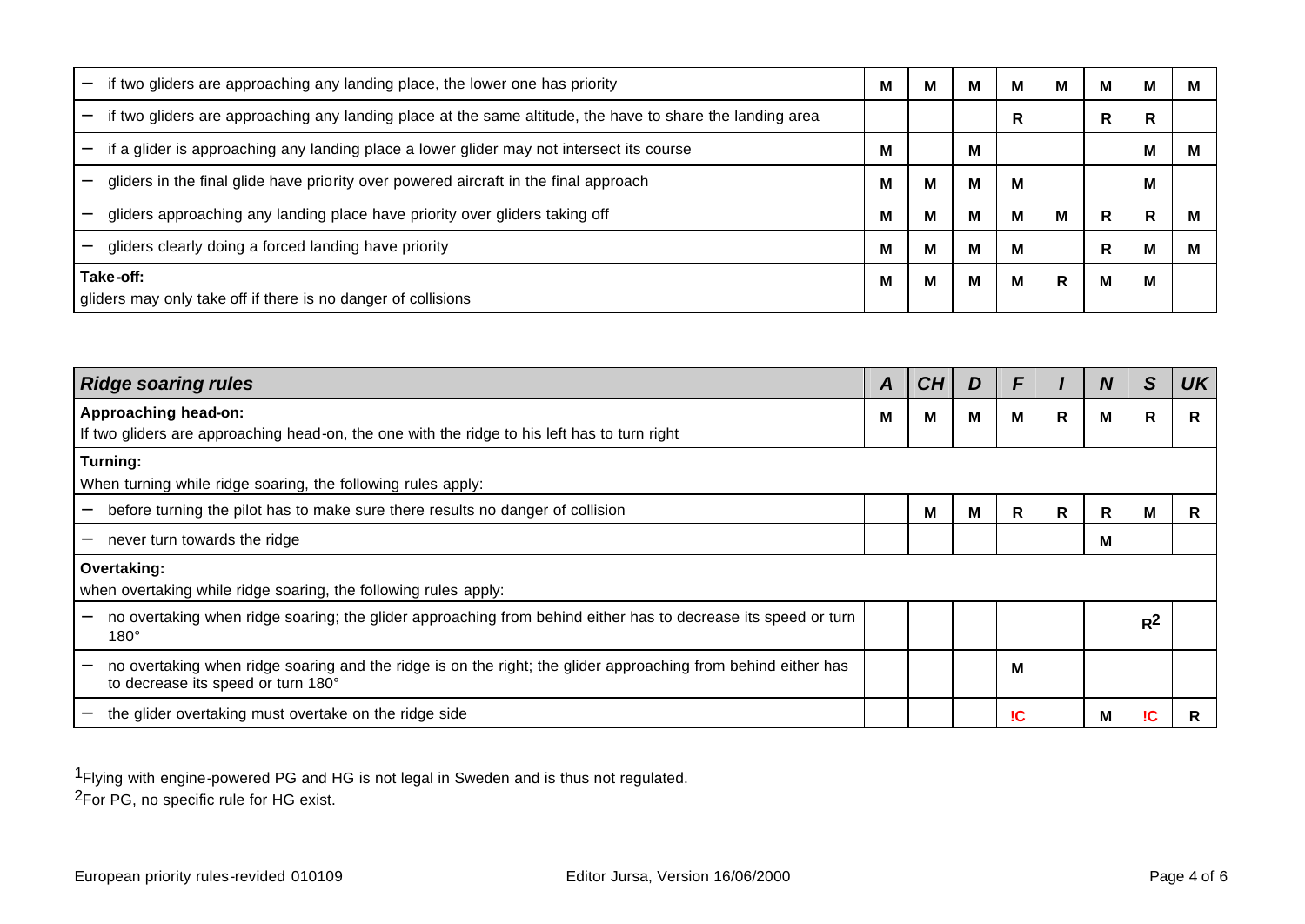| if two gliders are approaching any landing place, the lower one has priority                              | м | м | м | M | м | M | м | м |
|-----------------------------------------------------------------------------------------------------------|---|---|---|---|---|---|---|---|
| if two gliders are approaching any landing place at the same altitude, the have to share the landing area |   |   |   | R |   | R | R |   |
| if a glider is approaching any landing place a lower glider may not intersect its course                  | М |   | м |   |   |   | М |   |
| gliders in the final glide have priority over powered aircraft in the final approach                      | М | M | м | M |   |   | М |   |
| gliders approaching any landing place have priority over gliders taking off                               |   | M | м | M | м | R | R | M |
| gliders clearly doing a forced landing have priority                                                      |   | М | м | M |   | R | М |   |
| Take-off:                                                                                                 |   | M | м | M | R | M | M |   |
| gliders may only take off if there is no danger of collisions                                             |   |   |   |   |   |   |   |   |

| <b>Ridge soaring rules</b>                                                                                                                          |   |   |   | F         |   | N | S     | <b>UK</b> |
|-----------------------------------------------------------------------------------------------------------------------------------------------------|---|---|---|-----------|---|---|-------|-----------|
| Approaching head-on:<br>If two gliders are approaching head-on, the one with the ridge to his left has to turn right                                | М | Μ | M | M         | R | M | R     | R         |
| Turning:<br>When turning while ridge soaring, the following rules apply:                                                                            |   |   |   |           |   |   |       |           |
| before turning the pilot has to make sure there results no danger of collision                                                                      |   | м | M | R         | R | R | м     | R         |
| never turn towards the ridge                                                                                                                        |   |   |   |           |   | М |       |           |
| Overtaking:<br>when overtaking while ridge soaring, the following rules apply:                                                                      |   |   |   |           |   |   |       |           |
| no overtaking when ridge soaring; the glider approaching from behind either has to decrease its speed or turn<br>$180^\circ$                        |   |   |   |           |   |   | $R^2$ |           |
| no overtaking when ridge soaring and the ridge is on the right; the glider approaching from behind either has<br>to decrease its speed or turn 180° |   |   |   | м         |   |   |       |           |
| the glider overtaking must overtake on the ridge side                                                                                               |   |   |   | <b>IC</b> |   | М | IС    | R         |

1Flying with engine-powered PG and HG is not legal in Sweden and is thus not regulated. 2For PG, no specific rule for HG exist.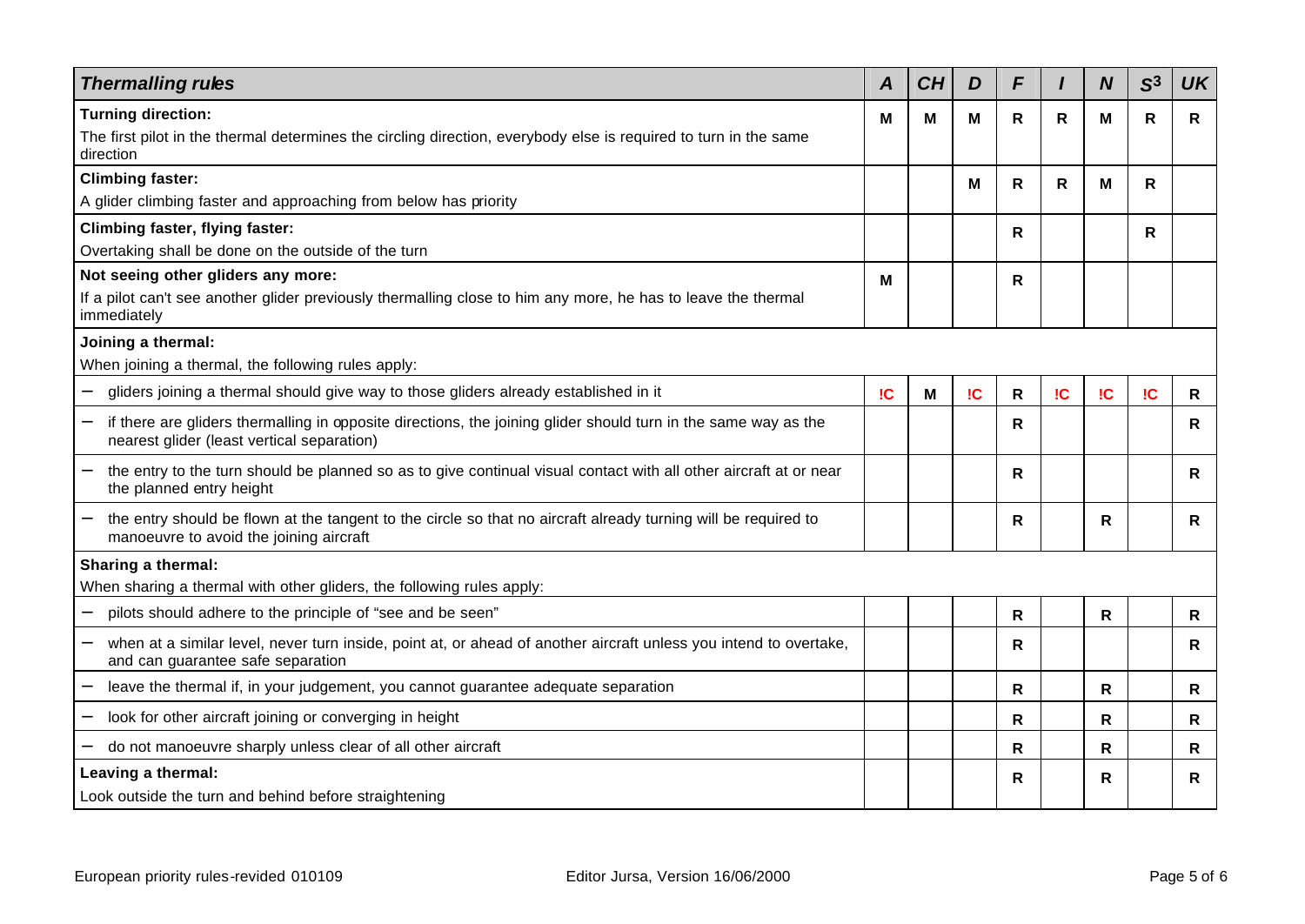| <b>Thermalling rules</b>                                                                                                                                     | A  | CH | D  | F |              | N  | S <sup>3</sup> | <b>UK</b> |
|--------------------------------------------------------------------------------------------------------------------------------------------------------------|----|----|----|---|--------------|----|----------------|-----------|
| <b>Turning direction:</b>                                                                                                                                    | М  | М  | М  | R | $\mathsf{R}$ | м  | $\mathsf{R}$   | R         |
| The first pilot in the thermal determines the circling direction, everybody else is required to turn in the same<br>direction                                |    |    |    |   |              |    |                |           |
| <b>Climbing faster:</b>                                                                                                                                      |    |    | м  | R | R            | м  | R              |           |
| A glider climbing faster and approaching from below has priority                                                                                             |    |    |    |   |              |    |                |           |
| <b>Climbing faster, flying faster:</b>                                                                                                                       |    |    |    | R |              |    | R              |           |
| Overtaking shall be done on the outside of the turn                                                                                                          |    |    |    |   |              |    |                |           |
| Not seeing other gliders any more:                                                                                                                           | M  |    |    | R |              |    |                |           |
| If a pilot can't see another glider previously thermalling close to him any more, he has to leave the thermal<br>immediately                                 |    |    |    |   |              |    |                |           |
| Joining a thermal:                                                                                                                                           |    |    |    |   |              |    |                |           |
| When joining a thermal, the following rules apply:                                                                                                           |    |    |    |   |              |    |                |           |
| gliders joining a thermal should give way to those gliders already established in it                                                                         | IC | Μ  | IC | R | IC           | IC | IC             | R         |
| if there are gliders thermalling in opposite directions, the joining glider should turn in the same way as the<br>nearest glider (least vertical separation) |    |    |    | R |              |    |                | R         |
| the entry to the turn should be planned so as to give continual visual contact with all other aircraft at or near<br>the planned entry height                |    |    |    | R |              |    |                | R         |
| the entry should be flown at the tangent to the circle so that no aircraft already turning will be required to<br>manoeuvre to avoid the joining aircraft    |    |    |    | R |              | R  |                | R         |
| Sharing a thermal:                                                                                                                                           |    |    |    |   |              |    |                |           |
| When sharing a thermal with other gliders, the following rules apply:                                                                                        |    |    |    |   |              |    |                |           |
| pilots should adhere to the principle of "see and be seen"                                                                                                   |    |    |    | R |              | R  |                | R         |
| when at a similar level, never turn inside, point at, or ahead of another aircraft unless you intend to overtake,<br>and can guarantee safe separation       |    |    |    | R |              |    |                | R         |
| leave the thermal if, in your judgement, you cannot guarantee adequate separation                                                                            |    |    |    | R |              | R  |                | R         |
| look for other aircraft joining or converging in height                                                                                                      |    |    |    | R |              | R  |                | R         |
| do not manoeuvre sharply unless clear of all other aircraft                                                                                                  |    |    |    | R |              | R  |                | R         |
| Leaving a thermal:                                                                                                                                           |    |    |    | R |              | R  |                | R         |
| Look outside the turn and behind before straightening                                                                                                        |    |    |    |   |              |    |                |           |